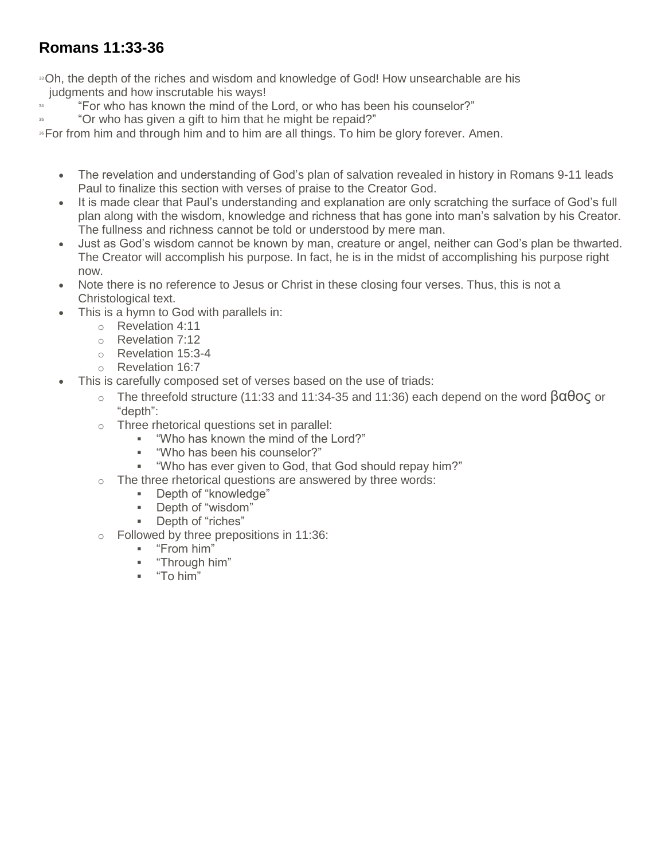## **Romans 11:33-36**

<sup>33</sup>Oh, the depth of the riches and wisdom and knowledge of God! How unsearchable are his judgments and how inscrutable his ways!

- <sup>34</sup> "For who has known the mind of the Lord, or who has been his counselor?"
- "Or who has given a gift to him that he might be repaid?"

<sup>36</sup>For from him and through him and to him are all things. To him be glory forever. Amen.

- The revelation and understanding of God's plan of salvation revealed in history in Romans 9-11 leads Paul to finalize this section with verses of praise to the Creator God.
- It is made clear that Paul's understanding and explanation are only scratching the surface of God's full plan along with the wisdom, knowledge and richness that has gone into man's salvation by his Creator. The fullness and richness cannot be told or understood by mere man.
- Just as God's wisdom cannot be known by man, creature or angel, neither can God's plan be thwarted. The Creator will accomplish his purpose. In fact, he is in the midst of accomplishing his purpose right now.
- Note there is no reference to Jesus or Christ in these closing four verses. Thus, this is not a Christological text.
- This is a hymn to God with parallels in:
	- o Revelation 4:11
	- o Revelation 7:12
	- o Revelation 15:3-4
	- o Revelation 16:7
- This is carefully composed set of verses based on the use of triads:
	- o The threefold structure (11:33 and 11:34-35 and 11:36) each depend on the word βαθος or "depth":
	- o Three rhetorical questions set in parallel:
		- "Who has known the mind of the Lord?"<br>■ "Who has been his counselor?"
		- "Who has been his counselor?"
		- "Who has ever given to God, that God should repay him?"
	- o The three rhetorical questions are answered by three words:
		- Depth of "knowledge"
		- Depth of "wisdom"
		- **Depth of "riches"**
	- o Followed by three prepositions in 11:36:
		- "From him"<br>"Through hi
		- "Through him"
		- "To him"